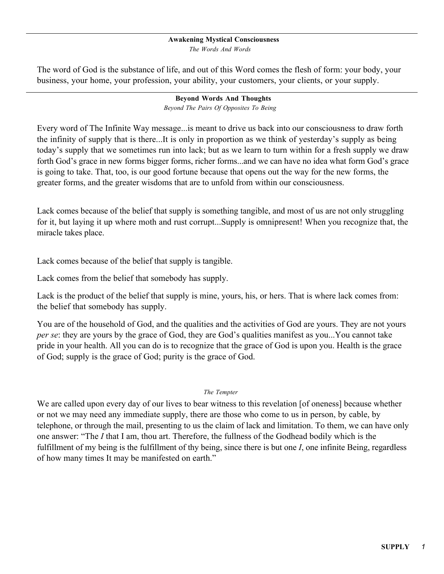#### **Awakening Mystical Consciousness**

*The Words And Words*

The word of God is the substance of life, and out of this Word comes the flesh of form: your body, your business, your home, your profession, your ability, your customers, your clients, or your supply.

# **Beyond Words And Thoughts**

*Beyond The Pairs Of Opposites To Being*

Every word of The Infinite Way message...is meant to drive us back into our consciousness to draw forth the infinity of supply that is there...It is only in proportion as we think of yesterday's supply as being today's supply that we sometimes run into lack; but as we learn to turn within for a fresh supply we draw forth God's grace in new forms bigger forms, richer forms...and we can have no idea what form God's grace is going to take. That, too, is our good fortune because that opens out the way for the new forms, the greater forms, and the greater wisdoms that are to unfold from within our consciousness.

Lack comes because of the belief that supply is something tangible, and most of us are not only struggling for it, but laying it up where moth and rust corrupt...Supply is omnipresent! When you recognize that, the miracle takes place.

Lack comes because of the belief that supply is tangible.

Lack comes from the belief that somebody has supply.

Lack is the product of the belief that supply is mine, yours, his, or hers. That is where lack comes from: the belief that somebody has supply.

You are of the household of God, and the qualities and the activities of God are yours. They are not yours *per se*: they are yours by the grace of God, they are God's qualities manifest as you...You cannot take pride in your health. All you can do is to recognize that the grace of God is upon you. Health is the grace of God; supply is the grace of God; purity is the grace of God.

### *The Tempter*

We are called upon every day of our lives to bear witness to this revelation [of oneness] because whether or not we may need any immediate supply, there are those who come to us in person, by cable, by telephone, or through the mail, presenting to us the claim of lack and limitation. To them, we can have only one answer: "The *I* that I am, thou art. Therefore, the fullness of the Godhead bodily which is the fulfillment of my being is the fulfillment of thy being, since there is but one *I*, one infinite Being, regardless of how many times It may be manifested on earth."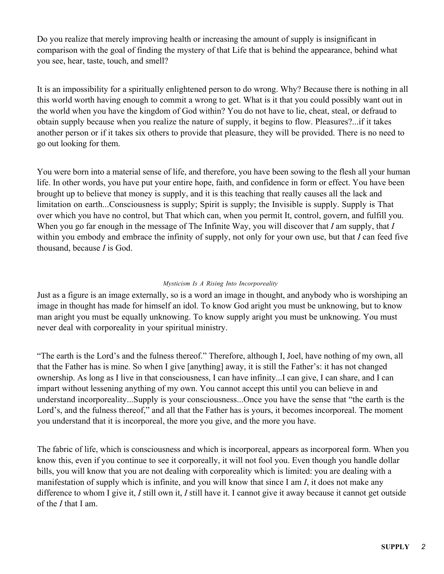Do you realize that merely improving health or increasing the amount of supply is insignificant in comparison with the goal of finding the mystery of that Life that is behind the appearance, behind what you see, hear, taste, touch, and smell?

It is an impossibility for a spiritually enlightened person to do wrong. Why? Because there is nothing in all this world worth having enough to commit a wrong to get. What is it that you could possibly want out in the world when you have the kingdom of God within? You do not have to lie, cheat, steal, or defraud to obtain supply because when you realize the nature of supply, it begins to flow. Pleasures?...if it takes another person or if it takes six others to provide that pleasure, they will be provided. There is no need to go out looking for them.

You were born into a material sense of life, and therefore, you have been sowing to the flesh all your human life. In other words, you have put your entire hope, faith, and confidence in form or effect. You have been brought up to believe that money is supply, and it is this teaching that really causes all the lack and limitation on earth...Consciousness is supply; Spirit is supply; the Invisible is supply. Supply is That over which you have no control, but That which can, when you permit It, control, govern, and fulfill you. When you go far enough in the message of The Infinite Way, you will discover that *I* am supply, that *I* within you embody and embrace the infinity of supply, not only for your own use, but that *I* can feed five thousand, because *I* is God.

# *Mysticism Is A Rising Into Incorporeality*

Just as a figure is an image externally, so is a word an image in thought, and anybody who is worshiping an image in thought has made for himself an idol. To know God aright you must be unknowing, but to know man aright you must be equally unknowing. To know supply aright you must be unknowing. You must never deal with corporeality in your spiritual ministry.

"The earth is the Lord's and the fulness thereof." Therefore, although I, Joel, have nothing of my own, all that the Father has is mine. So when I give [anything] away, it is still the Father's: it has not changed ownership. As long as I live in that consciousness, I can have infinity...I can give, I can share, and I can impart without lessening anything of my own. You cannot accept this until you can believe in and understand incorporeality...Supply is your consciousness...Once you have the sense that "the earth is the Lord's, and the fulness thereof," and all that the Father has is yours, it becomes incorporeal. The moment you understand that it is incorporeal, the more you give, and the more you have.

The fabric of life, which is consciousness and which is incorporeal, appears as incorporeal form. When you know this, even if you continue to see it corporeally, it will not fool you. Even though you handle dollar bills, you will know that you are not dealing with corporeality which is limited: you are dealing with a manifestation of supply which is infinite, and you will know that since I am *I*, it does not make any difference to whom I give it, *I* still own it, *I* still have it. I cannot give it away because it cannot get outside of the *I* that I am.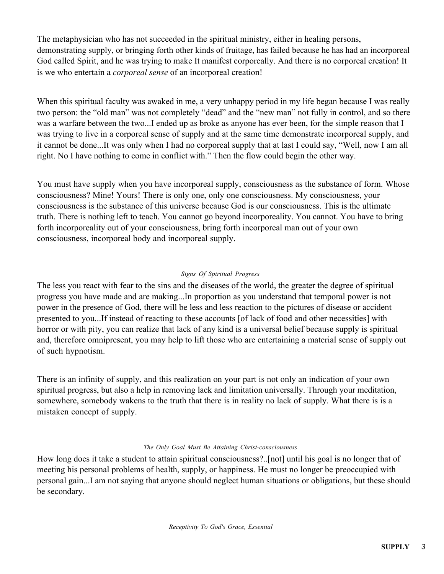The metaphysician who has not succeeded in the spiritual ministry, either in healing persons, demonstrating supply, or bringing forth other kinds of fruitage, has failed because he has had an incorporeal God called Spirit, and he was trying to make It manifest corporeally. And there is no corporeal creation! It is we who entertain a *corporeal sense* of an incorporeal creation!

When this spiritual faculty was awaked in me, a very unhappy period in my life began because I was really two person: the "old man" was not completely "dead" and the "new man" not fully in control, and so there was a warfare between the two...I ended up as broke as anyone has ever been, for the simple reason that I was trying to live in a corporeal sense of supply and at the same time demonstrate incorporeal supply, and it cannot be done...It was only when I had no corporeal supply that at last I could say, "Well, now I am all right. No I have nothing to come in conflict with." Then the flow could begin the other way.

You must have supply when you have incorporeal supply, consciousness as the substance of form. Whose consciousness? Mine! Yours! There is only one, only one consciousness. My consciousness, your consciousness is the substance of this universe because God is our consciousness. This is the ultimate truth. There is nothing left to teach. You cannot go beyond incorporeality. You cannot. You have to bring forth incorporeality out of your consciousness, bring forth incorporeal man out of your own consciousness, incorporeal body and incorporeal supply.

# *Signs Of Spiritual Progress*

The less you react with fear to the sins and the diseases of the world, the greater the degree of spiritual progress you have made and are making...In proportion as you understand that temporal power is not power in the presence of God, there will be less and less reaction to the pictures of disease or accident presented to you...If instead of reacting to these accounts [of lack of food and other necessities] with horror or with pity, you can realize that lack of any kind is a universal belief because supply is spiritual and, therefore omnipresent, you may help to lift those who are entertaining a material sense of supply out of such hypnotism.

There is an infinity of supply, and this realization on your part is not only an indication of your own spiritual progress, but also a help in removing lack and limitation universally. Through your meditation, somewhere, somebody wakens to the truth that there is in reality no lack of supply. What there is is a mistaken concept of supply.

# *The Only Goal Must Be Attaining Christ-consciousness*

How long does it take a student to attain spiritual consciousness?..[not] until his goal is no longer that of meeting his personal problems of health, supply, or happiness. He must no longer be preoccupied with personal gain...I am not saying that anyone should neglect human situations or obligations, but these should be secondary.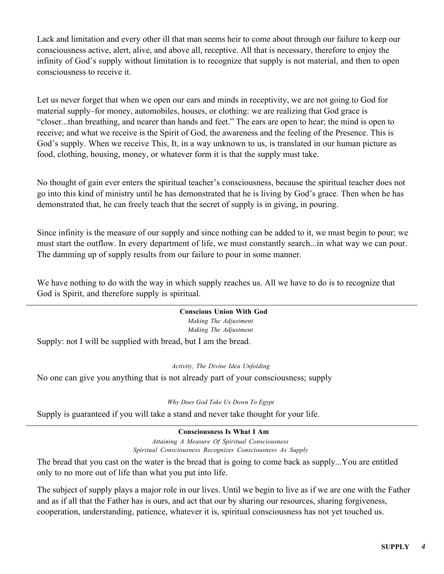Lack and limitation and every other ill that man seems heir to come about through our failure to keep our consciousness active, alert, alive, and above all, receptive. All that is necessary, therefore to enjoy the infinity of God's supply without limitation is to recognize that supply is not material, and then to open consciousness to receive it.

Let us never forget that when we open our ears and minds in receptivity, we are not going to God for material supply–for money, automobiles, houses, or clothing: we are realizing that God grace is "closer...than breathing, and nearer than hands and feet." The ears are open to hear; the mind is open to receive; and what we receive is the Spirit of God, the awareness and the feeling of the Presence. This is God's supply. When we receive This, It, in a way unknown to us, is translated in our human picture as food, clothing, housing, money, or whatever form it is that the supply must take.

No thought of gain ever enters the spiritual teacher's consciousness, because the spiritual teacher does not go into this kind of ministry until he has demonstrated that he is living by God's grace. Then when he has demonstrated that, he can freely teach that the secret of supply is in giving, in pouring.

Since infinity is the measure of our supply and since nothing can be added to it, we must begin to pour; we must start the outflow. In every department of life, we must constantly search...in what way we can pour. The damming up of supply results from our failure to pour in some manner.

We have nothing to do with the way in which supply reaches us. All we have to do is to recognize that God is Spirit, and therefore supply is spiritual.

# **Conscious Union With God**

*Making The Adjustment Making The Adjustment*

Supply: not I will be supplied with bread, but I am the bread.

*Activity, The Divine Idea Unfolding*

No one can give you anything that is not already part of your consciousness; supply

*Why Does God Take Us Down To Egypt*

Supply is guaranteed if you will take a stand and never take thought for your life.

# **Consciousness Is What I Am**

*Attaining A Measure Of Spiritual Consciousness Spiritual Consciousness Recognizes Consciousness As Supply*

The bread that you cast on the water is the bread that is going to come back as supply...You are entitled only to no more out of life than what you put into life.

The subject of supply plays a major role in our lives. Until we begin to live as if we are one with the Father and as if all that the Father has is ours, and act that our by sharing our resources, sharing forgiveness, cooperation, understanding, patience, whatever it is, spiritual consciousness has not yet touched us.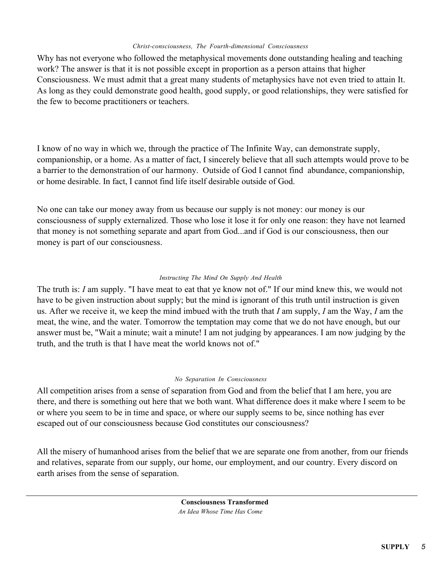### *Christ-consciousness, The Fourth-dimensional Consciousness*

Why has not everyone who followed the metaphysical movements done outstanding healing and teaching work? The answer is that it is not possible except in proportion as a person attains that higher Consciousness. We must admit that a great many students of metaphysics have not even tried to attain It. As long as they could demonstrate good health, good supply, or good relationships, they were satisfied for the few to become practitioners or teachers.

I know of no way in which we, through the practice of The Infinite Way, can demonstrate supply, companionship, or a home. As a matter of fact, I sincerely believe that all such attempts would prove to be a barrier to the demonstration of our harmony. Outside of God I cannot find abundance, companionship, or home desirable. In fact, I cannot find life itself desirable outside of God.

No one can take our money away from us because our supply is not money: our money is our consciousness of supply externalized. Those who lose it lose it for only one reason: they have not learned that money is not something separate and apart from God...and if God is our consciousness, then our money is part of our consciousness.

# *Instructing The Mind On Supply And Health*

The truth is: *I* am supply. "I have meat to eat that ye know not of." If our mind knew this, we would not have to be given instruction about supply; but the mind is ignorant of this truth until instruction is given us. After we receive it, we keep the mind imbued with the truth that *I* am supply, *I* am the Way, *I* am the meat, the wine, and the water. Tomorrow the temptation may come that we do not have enough, but our answer must be, "Wait a minute; wait a minute! I am not judging by appearances. I am now judging by the truth, and the truth is that I have meat the world knows not of."

### *No Separation In Consciousness*

All competition arises from a sense of separation from God and from the belief that I am here, you are there, and there is something out here that we both want. What difference does it make where I seem to be or where you seem to be in time and space, or where our supply seems to be, since nothing has ever escaped out of our consciousness because God constitutes our consciousness?

All the misery of humanhood arises from the belief that we are separate one from another, from our friends and relatives, separate from our supply, our home, our employment, and our country. Every discord on earth arises from the sense of separation.

> **Consciousness Transformed** *An Idea Whose Time Has Come*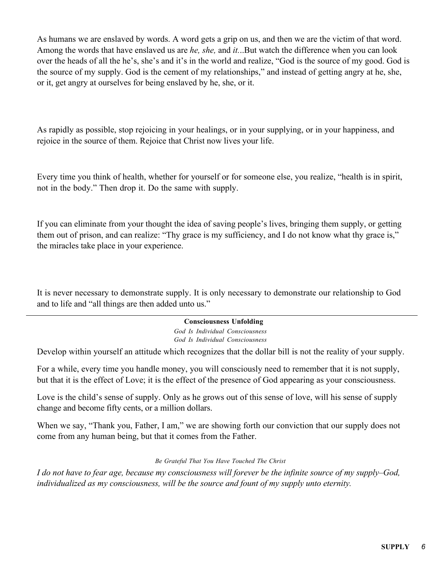As humans we are enslaved by words. A word gets a grip on us, and then we are the victim of that word. Among the words that have enslaved us are *he, she,* and *it.*..But watch the difference when you can look over the heads of all the he's, she's and it's in the world and realize, "God is the source of my good. God is the source of my supply. God is the cement of my relationships," and instead of getting angry at he, she, or it, get angry at ourselves for being enslaved by he, she, or it.

As rapidly as possible, stop rejoicing in your healings, or in your supplying, or in your happiness, and rejoice in the source of them. Rejoice that Christ now lives your life.

Every time you think of health, whether for yourself or for someone else, you realize, "health is in spirit, not in the body." Then drop it. Do the same with supply.

If you can eliminate from your thought the idea of saving people's lives, bringing them supply, or getting them out of prison, and can realize: "Thy grace is my sufficiency, and I do not know what thy grace is," the miracles take place in your experience.

It is never necessary to demonstrate supply. It is only necessary to demonstrate our relationship to God and to life and "all things are then added unto us."

### **Consciousness Unfolding**

*God Is Individual Consciousness God Is Individual Consciousness*

Develop within yourself an attitude which recognizes that the dollar bill is not the reality of your supply.

For a while, every time you handle money, you will consciously need to remember that it is not supply, but that it is the effect of Love; it is the effect of the presence of God appearing as your consciousness.

Love is the child's sense of supply. Only as he grows out of this sense of love, will his sense of supply change and become fifty cents, or a million dollars.

When we say, "Thank you, Father, I am," we are showing forth our conviction that our supply does not come from any human being, but that it comes from the Father.

### *Be Grateful That You Have Touched The Christ*

*I do not have to fear age, because my consciousness will forever be the infinite source of my supply–God, individualized as my consciousness, will be the source and fount of my supply unto eternity.*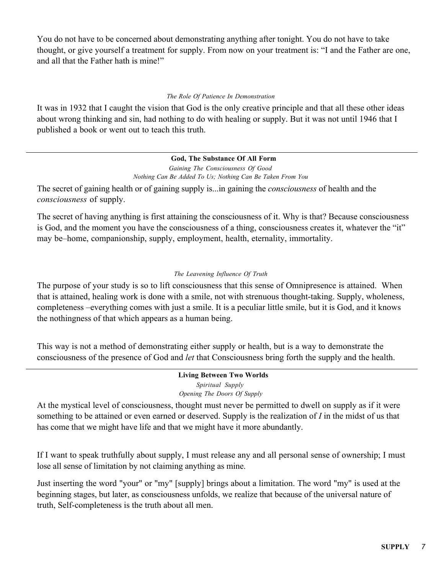You do not have to be concerned about demonstrating anything after tonight. You do not have to take thought, or give yourself a treatment for supply. From now on your treatment is: "I and the Father are one, and all that the Father hath is mine!"

### *The Role Of Patience In Demonstration*

It was in 1932 that I caught the vision that God is the only creative principle and that all these other ideas about wrong thinking and sin, had nothing to do with healing or supply. But it was not until 1946 that I published a book or went out to teach this truth.

# **God, The Substance Of All Form**

*Gaining The Consciousness Of Good Nothing Can Be Added To Us; Nothing Can Be Taken From You*

The secret of gaining health or of gaining supply is...in gaining the *consciousness* of health and the *consciousness* of supply.

The secret of having anything is first attaining the consciousness of it. Why is that? Because consciousness is God, and the moment you have the consciousness of a thing, consciousness creates it, whatever the "it" may be–home, companionship, supply, employment, health, eternality, immortality.

# *The Leavening Influence Of Truth*

The purpose of your study is so to lift consciousness that this sense of Omnipresence is attained. When that is attained, healing work is done with a smile, not with strenuous thought-taking. Supply, wholeness, completeness –everything comes with just a smile. It is a peculiar little smile, but it is God, and it knows the nothingness of that which appears as a human being.

This way is not a method of demonstrating either supply or health, but is a way to demonstrate the consciousness of the presence of God and *let* that Consciousness bring forth the supply and the health.

> **Living Between Two Worlds** *Spiritual Supply Opening The Doors Of Supply*

At the mystical level of consciousness, thought must never be permitted to dwell on supply as if it were something to be attained or even earned or deserved. Supply is the realization of *I* in the midst of us that has come that we might have life and that we might have it more abundantly.

If I want to speak truthfully about supply, I must release any and all personal sense of ownership; I must lose all sense of limitation by not claiming anything as mine.

Just inserting the word "your" or "my" [supply] brings about a limitation. The word "my" is used at the beginning stages, but later, as consciousness unfolds, we realize that because of the universal nature of truth, Self-completeness is the truth about all men.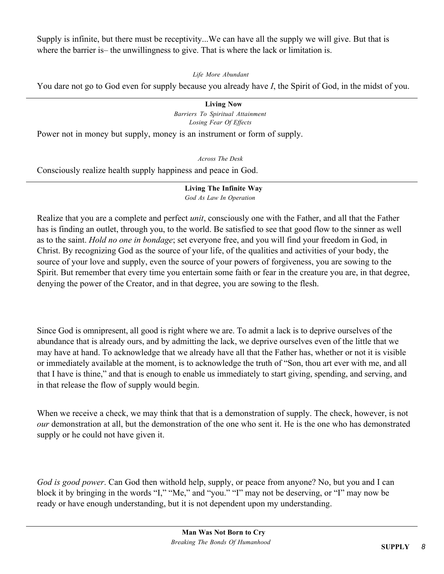Supply is infinite, but there must be receptivity...We can have all the supply we will give. But that is where the barrier is—the unwillingness to give. That is where the lack or limitation is.

*Life More Abundant*

You dare not go to God even for supply because you already have *I*, the Spirit of God, in the midst of you.

**Living Now** *Barriers To Spiritual Attainment Losing Fear Of Effects*

Power not in money but supply, money is an instrument or form of supply.

*Across The Desk*

Consciously realize health supply happiness and peace in God.

**Living The Infinite Way** *God As Law In Operation*

Realize that you are a complete and perfect *unit*, consciously one with the Father, and all that the Father has is finding an outlet, through you, to the world. Be satisfied to see that good flow to the sinner as well as to the saint. *Hold no one in bondage*; set everyone free, and you will find your freedom in God, in Christ. By recognizing God as the source of your life, of the qualities and activities of your body, the source of your love and supply, even the source of your powers of forgiveness, you are sowing to the Spirit. But remember that every time you entertain some faith or fear in the creature you are, in that degree, denying the power of the Creator, and in that degree, you are sowing to the flesh.

Since God is omnipresent, all good is right where we are. To admit a lack is to deprive ourselves of the abundance that is already ours, and by admitting the lack, we deprive ourselves even of the little that we may have at hand. To acknowledge that we already have all that the Father has, whether or not it is visible or immediately available at the moment, is to acknowledge the truth of "Son, thou art ever with me, and all that I have is thine," and that is enough to enable us immediately to start giving, spending, and serving, and in that release the flow of supply would begin.

When we receive a check, we may think that that is a demonstration of supply. The check, however, is not *our* demonstration at all, but the demonstration of the one who sent it. He is the one who has demonstrated supply or he could not have given it.

*God is good power*. Can God then withold help, supply, or peace from anyone? No, but you and I can block it by bringing in the words "I," "Me," and "you." "I" may not be deserving, or "I" may now be ready or have enough understanding, but it is not dependent upon my understanding.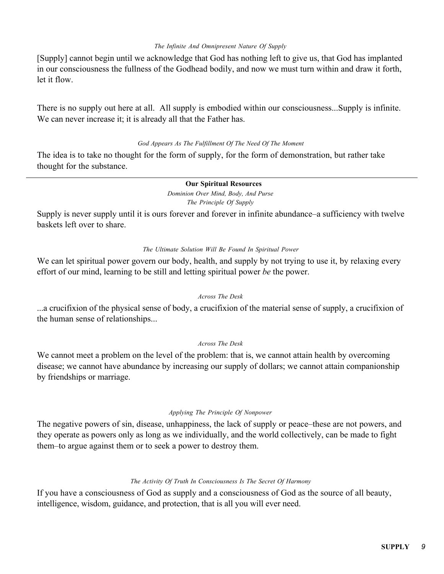#### *The Infinite And Omnipresent Nature Of Supply*

[Supply] cannot begin until we acknowledge that God has nothing left to give us, that God has implanted in our consciousness the fullness of the Godhead bodily, and now we must turn within and draw it forth, let it flow.

There is no supply out here at all. All supply is embodied within our consciousness...Supply is infinite. We can never increase it; it is already all that the Father has.

### *God Appears As The Fulfillment Of The Need Of The Moment*

The idea is to take no thought for the form of supply, for the form of demonstration, but rather take thought for the substance.

#### **Our Spiritual Resources**

*Dominion Over Mind, Body, And Purse The Principle Of Supply*

Supply is never supply until it is ours forever and forever in infinite abundance–a sufficiency with twelve baskets left over to share.

### *The Ultimate Solution Will Be Found In Spiritual Power*

We can let spiritual power govern our body, health, and supply by not trying to use it, by relaxing every effort of our mind, learning to be still and letting spiritual power *be* the power.

#### *Across The Desk*

...a crucifixion of the physical sense of body, a crucifixion of the material sense of supply, a crucifixion of the human sense of relationships...

### *Across The Desk*

We cannot meet a problem on the level of the problem: that is, we cannot attain health by overcoming disease; we cannot have abundance by increasing our supply of dollars; we cannot attain companionship by friendships or marriage.

#### *Applying The Principle Of Nonpower*

The negative powers of sin, disease, unhappiness, the lack of supply or peace–these are not powers, and they operate as powers only as long as we individually, and the world collectively, can be made to fight them–to argue against them or to seek a power to destroy them.

### *The Activity Of Truth In Consciousness Is The Secret Of Harmony*

If you have a consciousness of God as supply and a consciousness of God as the source of all beauty, intelligence, wisdom, guidance, and protection, that is all you will ever need.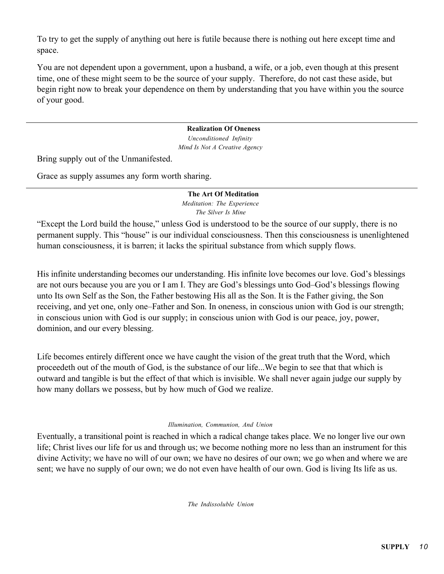To try to get the supply of anything out here is futile because there is nothing out here except time and space.

You are not dependent upon a government, upon a husband, a wife, or a job, even though at this present time, one of these might seem to be the source of your supply. Therefore, do not cast these aside, but begin right now to break your dependence on them by understanding that you have within you the source of your good.

### **Realization Of Oneness**

*Unconditioned Infinity Mind Is Not A Creative Agency*

Bring supply out of the Unmanifested.

Grace as supply assumes any form worth sharing.

# **The Art Of Meditation**

*Meditation: The Experience The Silver Is Mine*

"Except the Lord build the house," unless God is understood to be the source of our supply, there is no permanent supply. This "house" is our individual consciousness. Then this consciousness is unenlightened human consciousness, it is barren; it lacks the spiritual substance from which supply flows.

His infinite understanding becomes our understanding. His infinite love becomes our love. God's blessings are not ours because you are you or I am I. They are God's blessings unto God–God's blessings flowing unto Its own Self as the Son, the Father bestowing His all as the Son. It is the Father giving, the Son receiving, and yet one, only one–Father and Son. In oneness, in conscious union with God is our strength; in conscious union with God is our supply; in conscious union with God is our peace, joy, power, dominion, and our every blessing.

Life becomes entirely different once we have caught the vision of the great truth that the Word, which proceedeth out of the mouth of God, is the substance of our life...We begin to see that that which is outward and tangible is but the effect of that which is invisible. We shall never again judge our supply by how many dollars we possess, but by how much of God we realize.

### *Illumination, Communion, And Union*

Eventually, a transitional point is reached in which a radical change takes place. We no longer live our own life; Christ lives our life for us and through us; we become nothing more no less than an instrument for this divine Activity; we have no will of our own; we have no desires of our own; we go when and where we are sent; we have no supply of our own; we do not even have health of our own. God is living Its life as us.

*The Indissoluble Union*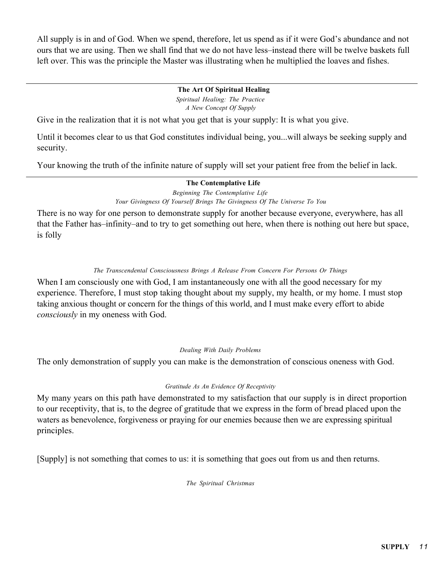All supply is in and of God. When we spend, therefore, let us spend as if it were God's abundance and not ours that we are using. Then we shall find that we do not have less–instead there will be twelve baskets full left over. This was the principle the Master was illustrating when he multiplied the loaves and fishes.

# **The Art Of Spiritual Healing**

*Spiritual Healing: The Practice A New Concept Of Supply*

Give in the realization that it is not what you get that is your supply: It is what you give.

Until it becomes clear to us that God constitutes individual being, you...will always be seeking supply and security.

Your knowing the truth of the infinite nature of supply will set your patient free from the belief in lack.

# **The Contemplative Life**

*Beginning The Contemplative Life Your Givingness Of Yourself Brings The Givingness Of The Universe To You*

There is no way for one person to demonstrate supply for another because everyone, everywhere, has all that the Father has–infinity–and to try to get something out here, when there is nothing out here but space, is folly

# *The Transcendental Consciousness Brings A Release From Concern For Persons Or Things*

When I am consciously one with God, I am instantaneously one with all the good necessary for my experience. Therefore, I must stop taking thought about my supply, my health, or my home. I must stop taking anxious thought or concern for the things of this world, and I must make every effort to abide *consciously* in my oneness with God.

# *Dealing With Daily Problems*

The only demonstration of supply you can make is the demonstration of conscious oneness with God.

# *Gratitude As An Evidence Of Receptivity*

My many years on this path have demonstrated to my satisfaction that our supply is in direct proportion to our receptivity, that is, to the degree of gratitude that we express in the form of bread placed upon the waters as benevolence, forgiveness or praying for our enemies because then we are expressing spiritual principles.

[Supply] is not something that comes to us: it is something that goes out from us and then returns.

*The Spiritual Christmas*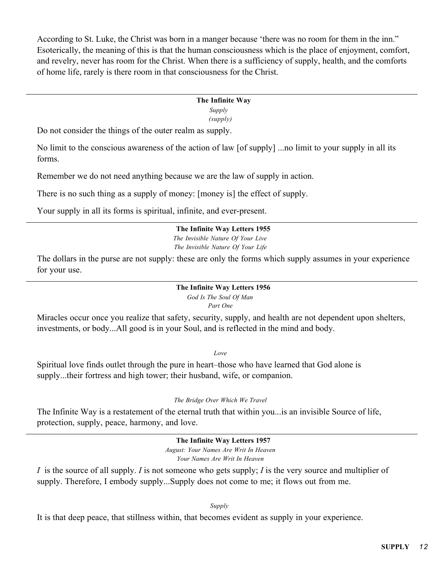According to St. Luke, the Christ was born in a manger because 'there was no room for them in the inn." Esoterically, the meaning of this is that the human consciousness which is the place of enjoyment, comfort, and revelry, never has room for the Christ. When there is a sufficiency of supply, health, and the comforts of home life, rarely is there room in that consciousness for the Christ.

# **The Infinite Way**

*Supply* 

*(supply)*

Do not consider the things of the outer realm as supply.

No limit to the conscious awareness of the action of law [of supply] ...no limit to your supply in all its forms.

Remember we do not need anything because we are the law of supply in action.

There is no such thing as a supply of money: [money is] the effect of supply.

Your supply in all its forms is spiritual, infinite, and ever-present.

# **The Infinite Way Letters 1955**

*The Invisible Nature Of Your Live The Invisible Nature Of Your Life*

The dollars in the purse are not supply: these are only the forms which supply assumes in your experience for your use.

> **The Infinite Way Letters 1956** *God Is The Soul Of Man Part One*

Miracles occur once you realize that safety, security, supply, and health are not dependent upon shelters, investments, or body...All good is in your Soul, and is reflected in the mind and body.

*Love*

Spiritual love finds outlet through the pure in heart–those who have learned that God alone is supply...their fortress and high tower; their husband, wife, or companion.

# *The Bridge Over Which We Travel*

The Infinite Way is a restatement of the eternal truth that within you...is an invisible Source of life, protection, supply, peace, harmony, and love.

> **The Infinite Way Letters 1957** *August: Your Names Are Writ In Heaven*

*Your Names Are Writ In Heaven*

*I* is the source of all supply. *I* is not someone who gets supply; *I* is the very source and multiplier of supply. Therefore, I embody supply...Supply does not come to me; it flows out from me.

*Supply* 

It is that deep peace, that stillness within, that becomes evident as supply in your experience.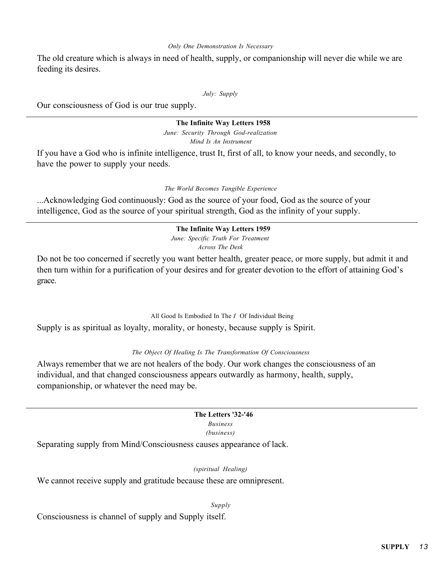#### *Only One Demonstration Is Necessary*

The old creature which is always in need of health, supply, or companionship will never die while we are feeding its desires.

*July: Supply*

Our consciousness of God is our true supply.

### **The Infinite Way Letters 1958**

*June: Security Through God-realization Mind Is An Instrument*

If you have a God who is infinite intelligence, trust It, first of all, to know your needs, and secondly, to have the power to supply your needs.

#### *The World Becomes Tangible Experience*

...Acknowledging God continuously: God as the source of your food, God as the source of your intelligence, God as the source of your spiritual strength, God as the infinity of your supply.

#### **The Infinite Way Letters 1959**

*June: Specific Truth For Treatment*

*Across The Desk*

Do not be too concerned if secretly you want better health, greater peace, or more supply, but admit it and then turn within for a purification of your desires and for greater devotion to the effort of attaining God's grace.

#### All Good Is Embodied In The *I* Of Individual Being

Supply is as spiritual as loyalty, morality, or honesty, because supply is Spirit.

### *The Object Of Healing Is The Transformation Of Consciousness*

Always remember that we are not healers of the body. Our work changes the consciousness of an individual, and that changed consciousness appears outwardly as harmony, health, supply, companionship, or whatever the need may be.

#### **The Letters '32-'46**

*Business*

*(business)*

Separating supply from Mind/Consciousness causes appearance of lack.

#### *(spiritual Healing)*

We cannot receive supply and gratitude because these are omnipresent.

*Supply*

Consciousness is channel of supply and Supply itself.